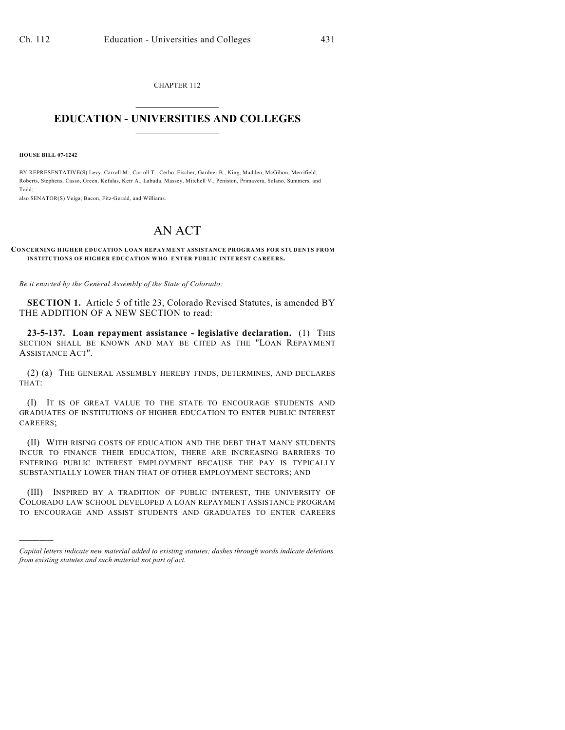CHAPTER 112  $\overline{\phantom{a}}$  . The set of the set of the set of the set of the set of the set of the set of the set of the set of the set of the set of the set of the set of the set of the set of the set of the set of the set of the set o

## **EDUCATION - UNIVERSITIES AND COLLEGES**  $\_$

**HOUSE BILL 07-1242**

)))))

BY REPRESENTATIVE(S) Levy, Carroll M., Carroll T., Cerbo, Fischer, Gardner B., King, Madden, McGihon, Merrifield, Roberts, Stephens, Casso, Green, Kefalas, Kerr A., Labuda, Massey, Mitchell V., Peniston, Primavera, Solano, Summers, and Todd;

also SENATOR(S) Veiga, Bacon, Fitz-Gerald, and Williams.

## AN ACT

## **CONCERNING HIGHER EDUCATION LOAN REPAYMENT ASSISTANCE PROGRAMS FOR STUDENTS FROM INSTITUTIONS OF HIGHER EDUCATION WHO ENTER PUBLIC INTEREST CAREERS.**

*Be it enacted by the General Assembly of the State of Colorado:*

**SECTION 1.** Article 5 of title 23, Colorado Revised Statutes, is amended BY THE ADDITION OF A NEW SECTION to read:

**23-5-137. Loan repayment assistance - legislative declaration.** (1) THIS SECTION SHALL BE KNOWN AND MAY BE CITED AS THE "LOAN REPAYMENT ASSISTANCE ACT".

(2) (a) THE GENERAL ASSEMBLY HEREBY FINDS, DETERMINES, AND DECLARES THAT:

(I) IT IS OF GREAT VALUE TO THE STATE TO ENCOURAGE STUDENTS AND GRADUATES OF INSTITUTIONS OF HIGHER EDUCATION TO ENTER PUBLIC INTEREST CAREERS;

(II) WITH RISING COSTS OF EDUCATION AND THE DEBT THAT MANY STUDENTS INCUR TO FINANCE THEIR EDUCATION, THERE ARE INCREASING BARRIERS TO ENTERING PUBLIC INTEREST EMPLOYMENT BECAUSE THE PAY IS TYPICALLY SUBSTANTIALLY LOWER THAN THAT OF OTHER EMPLOYMENT SECTORS; AND

(III) INSPIRED BY A TRADITION OF PUBLIC INTEREST, THE UNIVERSITY OF COLORADO LAW SCHOOL DEVELOPED A LOAN REPAYMENT ASSISTANCE PROGRAM TO ENCOURAGE AND ASSIST STUDENTS AND GRADUATES TO ENTER CAREERS

*Capital letters indicate new material added to existing statutes; dashes through words indicate deletions from existing statutes and such material not part of act.*